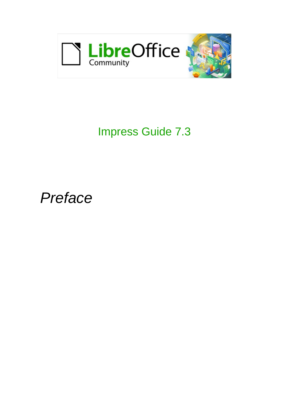

# Impress Guide 7.3

*Preface*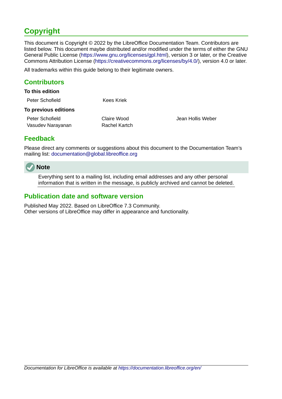# <span id="page-1-3"></span>**Copyright**

This document is Copyright © 2022 by the LibreOffice Documentation Team. Contributors are listed below. This document maybe distributed and/or modified under the terms of either the GNU General Public License (<https://www.gnu.org/licenses/gpl.html>), version 3 or later, or the Creative Commons Attribution License (<https://creativecommons.org/licenses/by/4.0/>), version 4.0 or later.

All trademarks within this guide belong to their legitimate owners.

### <span id="page-1-2"></span>**Contributors**

| To this edition             |               |
|-----------------------------|---------------|
| Peter Schofield             | Kees Kriek    |
| <b>To previous editions</b> |               |
| Peter Schofield             | Claire Wood   |
| Vasudev Narayanan           | Rachel Kartch |
|                             |               |

Jean Hollis Weber

### <span id="page-1-1"></span>**Feedback**

Please direct any comments or suggestions about this document to the Documentation Team's mailing list: [documentation@global.libreoffice.org](mailto:documentation@global.libreoffice.org)



Everything sent to a mailing list, including email addresses and any other personal information that is written in the message, is publicly archived and cannot be deleted.

### <span id="page-1-0"></span>**Publication date and software version**

Published May 2022. Based on LibreOffice 7.3 Community. Other versions of LibreOffice may differ in appearance and functionality.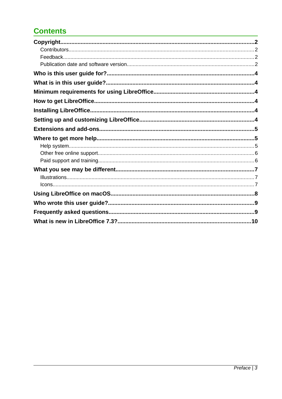# **Contents**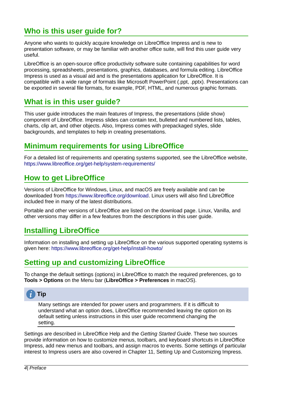# <span id="page-3-5"></span>**Who is this user guide for?**

Anyone who wants to quickly acquire knowledge on LibreOffice Impress and is new to presentation software, or may be familiar with another office suite, will find this user guide very useful.

LibreOffice is an open-source office productivity software suite containing capabilities for word processing, spreadsheets, presentations, graphics, databases, and formula editing. LibreOffice Impress is used as a visual aid and is the presentations application for LibreOffice. It is compatible with a wide range of formats like Microsoft PowerPoint (.ppt, .pptx). Presentations can be exported in several file formats, for example, PDF, HTML, and numerous graphic formats.

# <span id="page-3-4"></span>**What is in this user guide?**

This user guide introduces the main features of Impress, the presentations (slide show) component of LibreOffice. Impress slides can contain text, bulleted and numbered lists, tables, charts, clip art, and other objects. Also, Impress comes with prepackaged styles, slide backgrounds, and templates to help in creating presentations.

# <span id="page-3-3"></span>**Minimum requirements for using LibreOffice**

For a detailed list of requirements and operating systems supported, see the LibreOffice website, <https://www.libreoffice.org/get-help/system-requirements/>

# <span id="page-3-2"></span>**How to get LibreOffice**

Versions of LibreOffice for Windows, Linux, and macOS are freely available and can be downloaded from [https://www.libreoffice.org/download.](https://www.libreoffice.org/download) Linux users will also find LibreOffice included free in many of the latest distributions.

Portable and other versions of LibreOffice are listed on the download page. Linux, Vanilla, and other versions may differ in a few features from the descriptions in this user guide.

# <span id="page-3-1"></span>**Installing LibreOffice**

Information on installing and setting up LibreOffice on the various supported operating systems is given here:<https://www.libreoffice.org/get-help/install-howto/>

# <span id="page-3-0"></span>**Setting up and customizing LibreOffice**

To change the default settings (options) in LibreOffice to match the required preferences, go to **Tools > Options** on the Menu bar (**LibreOffice > Preferences** in macOS).

# **Tip**

Many settings are intended for power users and programmers. If it is difficult to understand what an option does, LibreOffice recommended leaving the option on its default setting unless instructions in this user guide recommend changing the setting.

Settings are described in LibreOffice Help and the *Getting Started Guide*. These two sources provide information on how to customize menus, toolbars, and keyboard shortcuts in LibreOffice Impress, add new menus and toolbars, and assign macros to events. Some settings of particular interest to Impress users are also covered in Chapter 11, Setting Up and Customizing Impress.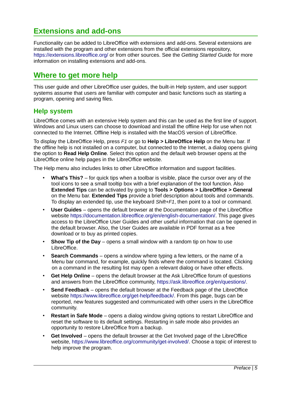# <span id="page-4-2"></span>**Extensions and add-ons**

Functionality can be added to LibreOffice with extensions and add-ons. Several extensions are installed with the program and other extensions from the official extensions repository, <https://extensions.libreoffice.org/> or from other sources. See the *Getting Started Guide* for more information on installing extensions and add-ons.

### <span id="page-4-1"></span>**Where to get more help**

This user guide and other LibreOffice user guides, the built-in Help system, and user support systems assume that users are familiar with computer and basic functions such as starting a program, opening and saving files.

### <span id="page-4-0"></span>**Help system**

LibreOffice comes with an extensive Help system and this can be used as the first line of support. Windows and Linux users can choose to download and install the offline Help for use when not connected to the Internet. Offline Help is installed with the MacOS version of LibreOffice.

To display the LibreOffice Help, press *F1* or go to **Help > LibreOffice Help** on the Menu bar. If the offline help is not installed on a computer, but connected to the Internet, a dialog opens giving the option to **Read Help Online**. Select this option and the default web browser opens at the LibreOffice online help pages in the LibreOffice website.

The Help menu also includes links to other LibreOffice information and support facilities.

- **What's This?** for quick tips when a toolbar is visible, place the cursor over any of the tool icons to see a small tooltip box with a brief explanation of the tool function. Also **Extended Tips** can be activated by going to **Tools > Options > LibreOffice > General** on the Menu bar. **Extended Tips** provide a brief description about tools and commands. To display an extended tip, use the keyboard *Shift+F1*, then point to a tool or command.
- **User Guides** opens the default browser at the Documentation page of the LibreOffice website [https://documentation.libreoffice.org/en/english-documentation/.](https://documentation.libreoffice.org/en/english-documentation/) This page gives access to the LibreOffice User Guides and other useful information that can be opened in the default browser. Also, the User Guides are available in PDF format as a free download or to buy as printed copies.
- **Show Tip of the Day** opens a small window with a random tip on how to use LibreOffice.
- **Search Commands** opens a window where typing a few letters, or the name of a Menu bar command, for example, quickly finds where the command is located. Clicking on a command in the resulting list may open a relevant dialog or have other effects.
- **Get Help Online** opens the default browser at the Ask LibreOffice forum of questions and answers from the LibreOffice community, <https://ask.libreoffice.org/en/questions/>.
- **Send Feedback** opens the default browser at the Feedback page of the LibreOffice website <https://www.libreoffice.org/get-help/feedback/>. From this page, bugs can be reported, new features suggested and communicated with other users in the LibreOffice community.
- **Restart in Safe Mode** opens a dialog window giving options to restart LibreOffice and reset the software to its default settings. Restarting in safe mode also provides an opportunity to restore LibreOffice from a backup.
- **Get Involved** opens the default browser at the Get Involved page of the LibreOffice website, [https://www.libreoffice.org/community/get-involved/.](https://www.libreoffice.org/community/get-involved/) Choose a topic of interest to help improve the program.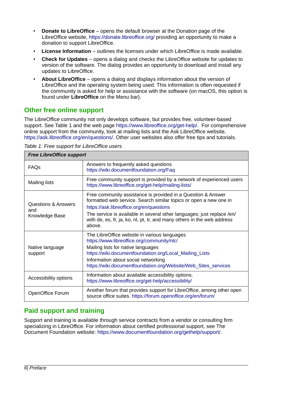- **Donate to LibreOffice** opens the default browser at the Donation page of the LibreOffice website, <https://donate.libreoffice.org/>providing an opportunity to make a donation to support LibreOffice.
- **License Information** outlines the licenses under which LibreOffice is made available.
- **Check for Updates** opens a dialog and checks the LibreOffice website for updates to version of the software. The dialog provides an opportunity to download and install any updates to LibreOffice.
- **About LibreOffice** opens a dialog and displays information about the version of LibreOffice and the operating system being used. This information is often requested if the community is asked for help or assistance with the software (on macOS, this option is found under **LibreOffice** on the Menu bar}.

### <span id="page-5-1"></span>**Other free online support**

The LibreOffice community not only develops software, but provides free, volunteer-based support. See Table [1](#page-5-2) and the web page<https://www.libreoffice.org/get-help/>. For comprehensive online support from the community, look at mailing lists and the Ask LibreOffice website, [https://ask.libreoffice.org/en/questions/.](https://ask.libreoffice.org/en/questions/) Other user websites also offer free tips and tutorials.

<span id="page-5-2"></span>*Table 1: Free support for LibreOffice users*

| <b>Free LibreOffice support</b>                         |                                                                                                                                                                                                                                                                                                                                              |  |
|---------------------------------------------------------|----------------------------------------------------------------------------------------------------------------------------------------------------------------------------------------------------------------------------------------------------------------------------------------------------------------------------------------------|--|
| <b>FAQS</b>                                             | Answers to frequently asked questions<br>https://wiki.documentfoundation.org/Faq                                                                                                                                                                                                                                                             |  |
| <b>Mailing lists</b>                                    | Free community support is provided by a network of experienced users<br>https://www.libreoffice.org/get-help/mailing-lists/                                                                                                                                                                                                                  |  |
| <b>Questions &amp; Answers</b><br>and<br>Knowledge Base | Free community assistance is provided in a Question & Answer<br>formatted web service. Search similar topics or open a new one in<br>https://ask.libreoffice.org/en/questions<br>The service is available in several other languages; just replace /en/<br>with de, es, fr, ja, ko, nl, pt, tr, and many others in the web address<br>above. |  |
| Native language<br>support                              | The LibreOffice website in various languages<br>https://www.libreoffice.org/community/nlc/<br>Mailing lists for native languages<br>https://wiki.documentfoundation.org/Local Mailing Lists<br>Information about social networking<br>https://wiki.documentfoundation.org/Website/Web Sites services                                         |  |
| Accessibility options                                   | Information about available accessibility options.<br>https://www.libreoffice.org/get-help/accessibility/                                                                                                                                                                                                                                    |  |
| OpenOffice Forum                                        | Another forum that provides support for LibreOffice, among other open<br>source office suites. https://forum.openoffice.org/en/forum/                                                                                                                                                                                                        |  |

### <span id="page-5-0"></span>**Paid support and training**

Support and training is available through service contracts from a vendor or consulting firm specializing in LibreOffice. For information about certified professional support, see The Document Foundation website: [https://www.documentfoundation.org/gethelp/support/.](https://www.documentfoundation.org/gethelp/support/)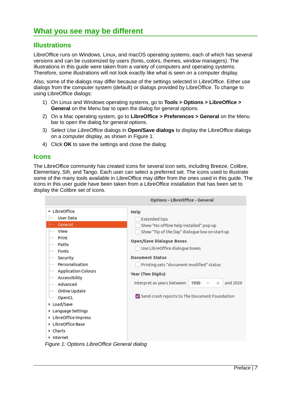### <span id="page-6-2"></span><span id="page-6-1"></span>**Illustrations**

LibreOffice runs on Windows, Linux, and macOS operating systems, each of which has several versions and can be customized by users (fonts, colors, themes, window managers). The illustrations in this guide were taken from a variety of computers and operating systems. Therefore, some illustrations will not look exactly like what is seen on a computer display.

Also, some of the dialogs may differ because of the settings selected in LibreOffice. Either use dialogs from the computer system (default) or dialogs provided by LibreOffice. To change to using LibreOffice dialogs:

- 1) On Linux and Windows operating systems, go to **Tools > Options > LibreOffice > General** on the Menu bar to open the dialog for general options.
- 2) On a Mac operating system, go to **LibreOffice > Preferences > General** on the Menu bar to open the dialog for general options.
- 3) Select *Use LibreOffice* dialogs in **Open/Save dialogs** to display the LibreOffice dialogs on a computer display, as shown in Figure [1](#page-6-3).
- 4) Click **OK** to save the settings and close the dialog.

#### <span id="page-6-0"></span>**Icons**

The LibreOffice community has created icons for several icon sets, including Breeze, Colibre, Elementary, Sifr, and Tango. Each user can select a preferred set. The icons used to illustrate some of the many tools available in LibreOffice may differ from the ones used in this guide. The icons in this user guide have been taken from a LibreOffice installation that has been set to display the Colibre set of icons.

<span id="page-6-3"></span>

*Figure 1: Options LibreOffice General dialog*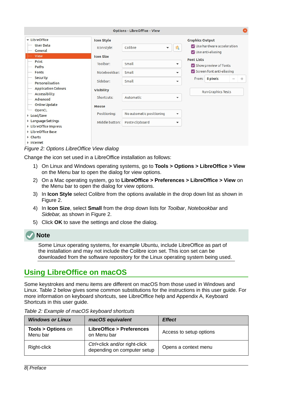|                                              |                                  | <b>Options - LibreOffice - View</b> |                          |                                                                                   | ⊗      |
|----------------------------------------------|----------------------------------|-------------------------------------|--------------------------|-----------------------------------------------------------------------------------|--------|
| • LibreOffice<br><b>User Data</b><br>General | <b>Icon Style</b><br>Icon style: | Colibre<br>$\overline{\mathbf{v}}$  | ्री                      | <b>Graphics Output</b><br>V Use hardware acceleration<br>$\vee$ Use anti-aliasing |        |
| View                                         | <b>Icon Size</b>                 |                                     |                          |                                                                                   |        |
| Print<br>Paths                               | Toolbar:                         | Small                               | <b>Font Lists</b><br>▼   | Show preview of fonts                                                             |        |
| Fonts                                        | Notebookbar:                     | Small                               | $\overline{\phantom{a}}$ | Screen font anti-aliasing                                                         |        |
| Security<br>Personalisation                  | Sidebar:                         | Small                               | ▼                        | 8 pixels<br>from:                                                                 | $^{+}$ |
| <b>Application Colours</b><br>Accessibility  | <b>Visibility</b>                |                                     |                          | <b>Run Graphics Tests</b>                                                         |        |
| Advanced                                     | Shortcuts:                       | Automatic                           | $\overline{\phantom{a}}$ |                                                                                   |        |
| Online Update<br>OpenCL                      | Mouse                            |                                     |                          |                                                                                   |        |
| ▶ Load/Save                                  | Positioning:                     | No automatic positioning            | $\blacktriangledown$     |                                                                                   |        |
| Language Settings<br>LibreOffice Impress     | Middle button:                   | Paste clipboard                     | $\checkmark$             |                                                                                   |        |
| LibreOffice Base                             |                                  |                                     |                          |                                                                                   |        |
| Charts<br>Internet                           |                                  |                                     |                          |                                                                                   |        |

#### <span id="page-7-2"></span>*Figure 2: Options LibreOffice View dialog*

Change the icon set used in a LibreOffice installation as follows:

- 1) On Linux and Windows operating systems, go to **Tools > Options > LibreOffice > View** on the Menu bar to open the dialog for view options.
- 2) On a Mac operating system, go to **LibreOffice > Preferences > LibreOffice > View** on the Menu bar to open the dialog for view options.
- 3) In **Icon Style** select Colibre from the options available in the drop down list as shown in Figure [2](#page-7-2).
- 4) In **Icon Size**, select **Small** from the drop down lists for *Toolbar*, *Notebookbar* and *Sidebar,* as shown in Figure [2.](#page-7-2)
- 5) Click **OK** to save the settings and close the dialog.

### **Note**

Some Linux operating systems, for example Ubuntu, include LibreOffice as part of the installation and may not include the Colibre icon set. This icon set can be downloaded from the software repository for the Linux operating system being used.

### <span id="page-7-0"></span>**Using LibreOffice on macOS**

Some keystrokes and menu items are different on macOS from those used in Windows and Linux. Table [2](#page-7-1) below gives some common substitutions for the instructions in this user guide. For more information on keyboard shortcuts, see LibreOffice help and Appendix A, Keyboard Shortcuts in this user guide.

| <b>Windows or Linux</b>                  | macOS equivalent                                             | <b>Effect</b>           |
|------------------------------------------|--------------------------------------------------------------|-------------------------|
| <b>Tools &gt; Options on</b><br>Menu bar | LibreOffice > Preferences<br>on Menu bar                     | Access to setup options |
| Right-click                              | Ctrl+click and/or right-click<br>depending on computer setup | Opens a context menu    |

#### <span id="page-7-1"></span>*Table 2: Example of macOS keyboard shortcuts*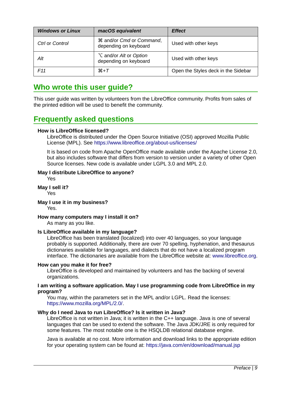| <b>Windows or Linux</b> | macOS equivalent                                           | <b>Effect</b>                       |
|-------------------------|------------------------------------------------------------|-------------------------------------|
| Ctrl or Control         | <b>\\$</b> and/or Cmd or Command,<br>depending on keyboard | Used with other keys                |
| Alt                     | $\sum$ and/or Alt or Option<br>depending on keyboard       | Used with other keys                |
| F11                     | $\mathcal{H} + \mathcal{T}$                                | Open the Styles deck in the Sidebar |

### <span id="page-8-0"></span>**Who wrote this user guide?**

This user guide was written by volunteers from the LibreOffice community. Profits from sales of the printed edition will be used to benefit the community.

### <span id="page-8-1"></span>**Frequently asked questions**

#### **How is LibreOffice licensed?**

LibreOffice is distributed under the Open Source Initiative (OSI) approved Mozilla Public License (MPL). See <https://www.libreoffice.org/about-us/licenses/>

It is based on code from Apache OpenOffice made available under the Apache License 2.0, but also includes software that differs from version to version under a variety of other Open Source licenses. New code is available under LGPL 3.0 and MPL 2.0.

#### **May I distribute LibreOffice to anyone?**

Yes

**May I sell it?**

Yes

#### **May I use it in my business?**

Yes.

#### **How many computers may I install it on?**

As many as you like.

#### **Is LibreOffice available in my language?**

LibreOffice has been translated (localized) into over 40 languages, so your language probably is supported. Additionally, there are over 70 spelling, hyphenation, and thesaurus dictionaries available for languages, and dialects that do not have a localized program interface. The dictionaries are available from the LibreOffice website at: [www.libreoffice.org.](http://www.libreoffice.org/)

#### **How can you make it for free?**

LibreOffice is developed and maintained by volunteers and has the backing of several organizations.

#### **I am writing a software application. May I use programming code from LibreOffice in my program?**

You may, within the parameters set in the MPL and/or LGPL. Read the licenses: [https://www.mozilla.org/MPL/2.0/.](https://www.mozilla.org/MPL/2.0/)

#### **Why do I need Java to run LibreOffice? Is it written in Java?**

LibreOffice is not written in Java; it is written in the C++ language. Java is one of several languages that can be used to extend the software. The Java JDK/JRE is only required for some features. The most notable one is the HSQLDB relational database engine.

Java is available at no cost. More information and download links to the appropriate edition for your operating system can be found at:<https://java.com/en/download/manual.jsp>